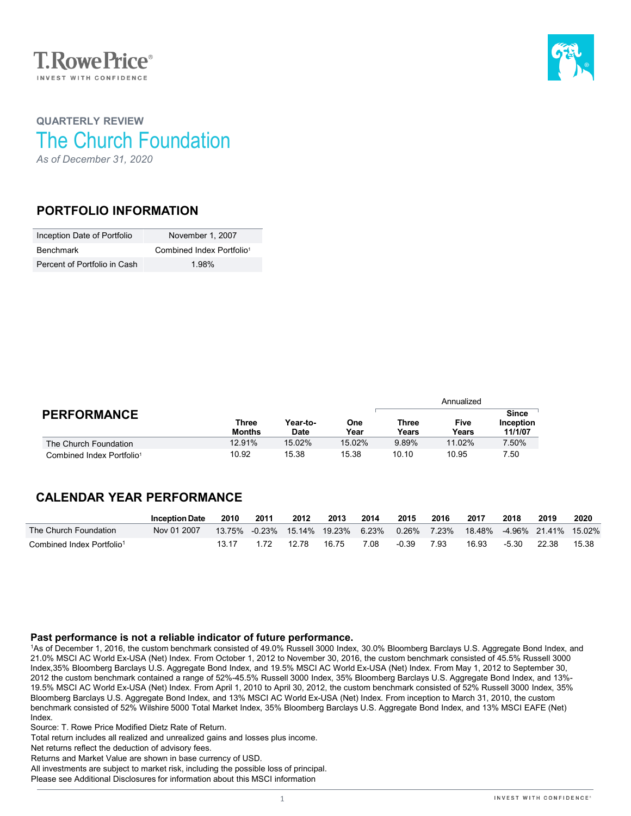



# **QUARTERLY REVIEW** The Church Foundation *As of December 31, 2020*

### **PORTFOLIO INFORMATION**

| Inception Date of Portfolio  | November 1, 2007                      |
|------------------------------|---------------------------------------|
| <b>Benchmark</b>             | Combined Index Portfolio <sup>1</sup> |
| Percent of Portfolio in Cash | 1.98%                                 |

|                                       |                        |                         |             | Annualized     |                      |                                      |  |
|---------------------------------------|------------------------|-------------------------|-------------|----------------|----------------------|--------------------------------------|--|
| <b>PERFORMANCE</b>                    | Three<br><b>Months</b> | Year-to-<br><b>Date</b> | One<br>Year | Three<br>Years | <b>Five</b><br>Years | <b>Since</b><br>Inception<br>11/1/07 |  |
| The Church Foundation                 | 12.91%                 | $15.02\%$               | 15.02%      | 9.89%          | 11.02%               | 7.50%                                |  |
| Combined Index Portfolio <sup>1</sup> | 10.92                  | 15.38                   | 15.38       | 10.10          | 10.95                | 7.50                                 |  |

# **CALENDAR YEAR PERFORMANCE**

|                                       | <b>Inception Date</b> | 2010 | 2011 | 2012  | 2013                              | 2014 | 2015    | 2016 | 2017  | 2018  | 2019                                    | 2020  |
|---------------------------------------|-----------------------|------|------|-------|-----------------------------------|------|---------|------|-------|-------|-----------------------------------------|-------|
| The Church Foundation                 | Nov 01 2007           |      |      |       | 13.75% -0.23% 15.14% 19.23% 6.23% |      |         |      |       |       | 0.26% 7.23% 18.48% -4.96% 21.41% 15.02% |       |
| Combined Index Portfolio <sup>1</sup> |                       |      |      | 12.78 | 16 75                             | 7.08 | $-0.39$ | 7.93 | 16.93 | -5.30 | - 22.38                                 | 15.38 |

#### **Past performance is not a reliable indicator of future performance.**

1As of December 1, 2016, the custom benchmark consisted of 49.0% Russell 3000 Index, 30.0% Bloomberg Barclays U.S. Aggregate Bond Index, and 21.0% MSCI AC World Ex-USA (Net) Index. From October 1, 2012 to November 30, 2016, the custom benchmark consisted of 45.5% Russell 3000 Index,35% Bloomberg Barclays U.S. Aggregate Bond Index, and 19.5% MSCI AC World Ex-USA (Net) Index. From May 1, 2012 to September 30, 2012 the custom benchmark contained a range of 52%-45.5% Russell 3000 Index, 35% Bloomberg Barclays U.S. Aggregate Bond Index, and 13%- 19.5% MSCI AC World Ex-USA (Net) Index. From April 1, 2010 to April 30, 2012, the custom benchmark consisted of 52% Russell 3000 Index, 35% Bloomberg Barclays U.S. Aggregate Bond Index, and 13% MSCI AC World Ex-USA (Net) Index. From inception to March 31, 2010, the custom benchmark consisted of 52% Wilshire 5000 Total Market Index, 35% Bloomberg Barclays U.S. Aggregate Bond Index, and 13% MSCI EAFE (Net) Index.

Source: T. Rowe Price Modified Dietz Rate of Return.

Total return includes all realized and unrealized gains and losses plus income.

Net returns reflect the deduction of advisory fees.

Returns and Market Value are shown in base currency of USD.

All investments are subject to market risk, including the possible loss of principal.

Please see Additional Disclosures for information about this MSCI information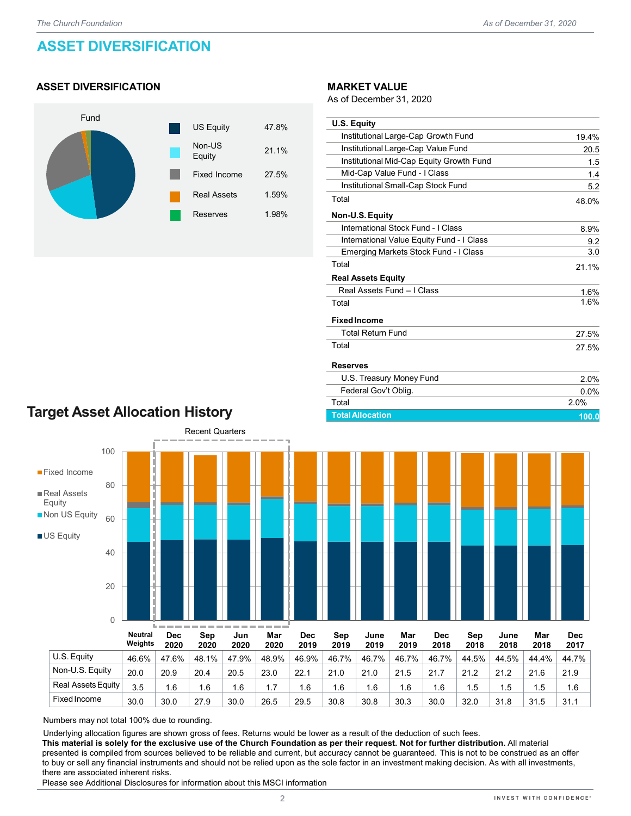# **ASSET DIVERSIFICATION**

### **ASSET DIVERSIFICATION**



#### **MARKET VALUE**

As of December 31, 2020

| <b>U.S. Equity</b>                        |       |
|-------------------------------------------|-------|
| Institutional Large-Cap Growth Fund       | 19.4% |
| Institutional Large-Cap Value Fund        | 20.5  |
| Institutional Mid-Cap Equity Growth Fund  | 1.5   |
| Mid-Cap Value Fund - I Class              | 1.4   |
| Institutional Small-Cap Stock Fund        | 5.2   |
| Total                                     | 48.0% |
| Non-U.S. Equity                           |       |
| International Stock Fund - I Class        | 8.9%  |
| International Value Equity Fund - I Class | 9.2   |
| Emerging Markets Stock Fund - I Class     | 3.0   |
| Total                                     | 21.1% |
| <b>Real Assets Equity</b>                 |       |
| Real Assets Fund - I Class                | 1.6%  |
| Total                                     | 1.6%  |
| <b>Fixed Income</b>                       |       |
| <b>Total Return Fund</b>                  | 27.5% |
| Total                                     | 27.5% |
| <b>Reserves</b>                           |       |
| U.S. Treasury Money Fund                  | 2.0%  |
| Federal Gov't Oblig.                      | 0.0%  |
| Total                                     | 2.0%  |

# **Target Asset Allocation History**



Numbers may not total 100% due to rounding.

Underlying allocation figures are shown gross of fees. Returns would be lower as a result of the deduction of such fees.

**This material is solely for the exclusive use of the Church Foundation as per their request. Not for further distribution.** All material presented is compiled from sources believed to be reliable and current, but accuracy cannot be guaranteed. This is not to be construed as an offer to buy or sell any financial instruments and should not be relied upon as the sole factor in an investment making decision. As with all investments, there are associated inherent risks.

Fixed Income 30.0 30.0 27.9 30.0 26.5 29.5 30.8 30.8 30.3 30.0 32.0 31.8 31.5 31.1

Please see Additional Disclosures for information about this MSCI information